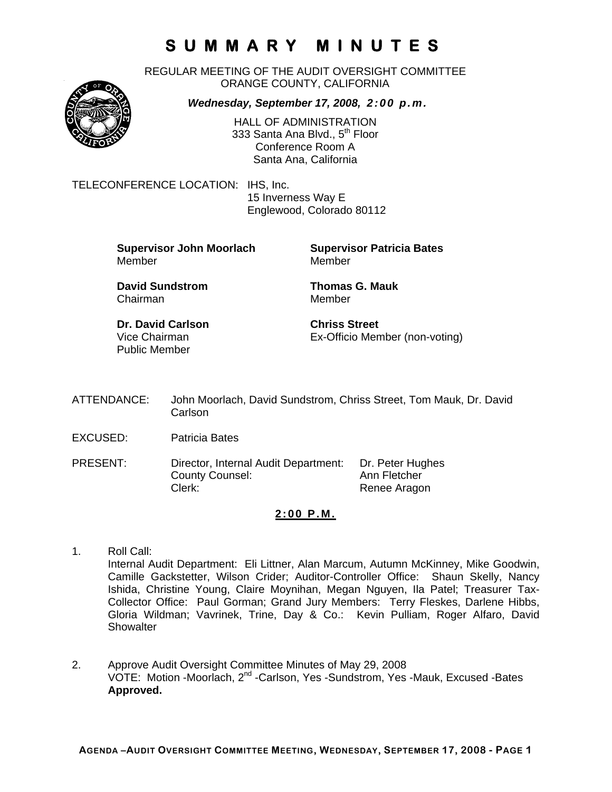REGULAR MEETING OF THE AUDIT OVERSIGHT COMMITTEE ORANGE COUNTY, CALIFORNIA

*Wednesday, September 17, 2008, 2:00 p.m.*



HALL OF ADMINISTRATION 333 Santa Ana Blvd., 5<sup>th</sup> Floor Conference Room A Santa Ana, California

TELECONFERENCE LOCATION: IHS, Inc.

 15 Inverness Way E Englewood, Colorado 80112

**Supervisor John Moorlach Supervisor Patricia Bates** Member Member

Chairman Member

**David Sundstrom Thomas G. Mauk** 

**Dr. David Carlson Chriss Street** Public Member

Vice Chairman Ex-Officio Member (non-voting)

- ATTENDANCE: John Moorlach, David Sundstrom, Chriss Street, Tom Mauk, Dr. David Carlson
- EXCUSED: Patricia Bates
- PRESENT: Director, Internal Audit Department: Dr. Peter Hughes County Counsel: Ann Fletcher Clerk: Clerk: Renee Aragon

### **2:00 P.M.**

- 1. Roll Call: Internal Audit Department: Eli Littner, Alan Marcum, Autumn McKinney, Mike Goodwin, Camille Gackstetter, Wilson Crider; Auditor-Controller Office: Shaun Skelly, Nancy Ishida, Christine Young, Claire Moynihan, Megan Nguyen, Ila Patel; Treasurer Tax-Collector Office: Paul Gorman; Grand Jury Members: Terry Fleskes, Darlene Hibbs, Gloria Wildman; Vavrinek, Trine, Day & Co.: Kevin Pulliam, Roger Alfaro, David **Showalter**
- 2. Approve Audit Oversight Committee Minutes of May 29, 2008 VOTE: Motion -Moorlach, 2nd -Carlson, Yes -Sundstrom, Yes -Mauk, Excused -Bates **Approved.**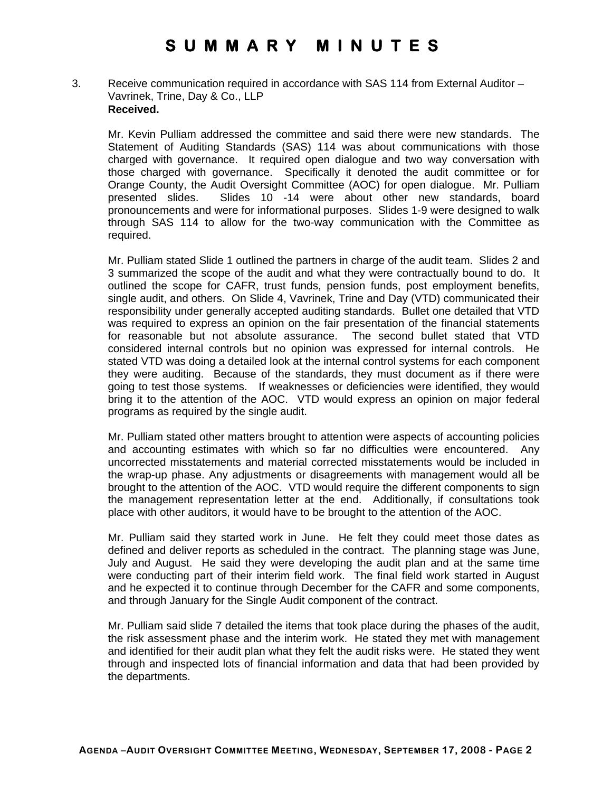3. Receive communication required in accordance with SAS 114 from External Auditor – Vavrinek, Trine, Day & Co., LLP **Received.** 

Mr. Kevin Pulliam addressed the committee and said there were new standards. The Statement of Auditing Standards (SAS) 114 was about communications with those charged with governance. It required open dialogue and two way conversation with those charged with governance. Specifically it denoted the audit committee or for Orange County, the Audit Oversight Committee (AOC) for open dialogue. Mr. Pulliam presented slides. Slides 10 -14 were about other new standards, board pronouncements and were for informational purposes. Slides 1-9 were designed to walk through SAS 114 to allow for the two-way communication with the Committee as required.

Mr. Pulliam stated Slide 1 outlined the partners in charge of the audit team. Slides 2 and 3 summarized the scope of the audit and what they were contractually bound to do. It outlined the scope for CAFR, trust funds, pension funds, post employment benefits, single audit, and others. On Slide 4, Vavrinek, Trine and Day (VTD) communicated their responsibility under generally accepted auditing standards. Bullet one detailed that VTD was required to express an opinion on the fair presentation of the financial statements for reasonable but not absolute assurance. The second bullet stated that VTD considered internal controls but no opinion was expressed for internal controls. He stated VTD was doing a detailed look at the internal control systems for each component they were auditing. Because of the standards, they must document as if there were going to test those systems. If weaknesses or deficiencies were identified, they would bring it to the attention of the AOC. VTD would express an opinion on major federal programs as required by the single audit.

Mr. Pulliam stated other matters brought to attention were aspects of accounting policies and accounting estimates with which so far no difficulties were encountered. Any uncorrected misstatements and material corrected misstatements would be included in the wrap-up phase. Any adjustments or disagreements with management would all be brought to the attention of the AOC. VTD would require the different components to sign the management representation letter at the end. Additionally, if consultations took place with other auditors, it would have to be brought to the attention of the AOC.

Mr. Pulliam said they started work in June. He felt they could meet those dates as defined and deliver reports as scheduled in the contract. The planning stage was June, July and August. He said they were developing the audit plan and at the same time were conducting part of their interim field work. The final field work started in August and he expected it to continue through December for the CAFR and some components, and through January for the Single Audit component of the contract.

Mr. Pulliam said slide 7 detailed the items that took place during the phases of the audit, the risk assessment phase and the interim work. He stated they met with management and identified for their audit plan what they felt the audit risks were. He stated they went through and inspected lots of financial information and data that had been provided by the departments.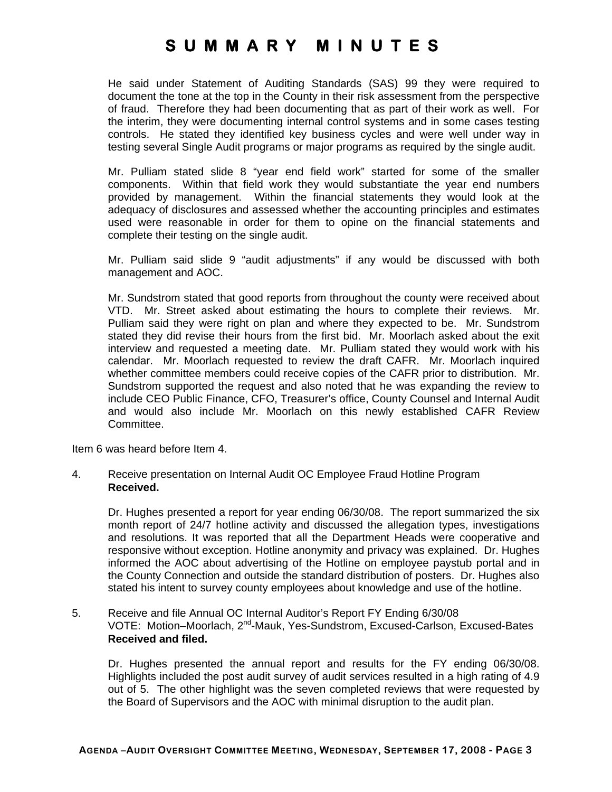He said under Statement of Auditing Standards (SAS) 99 they were required to document the tone at the top in the County in their risk assessment from the perspective of fraud. Therefore they had been documenting that as part of their work as well. For the interim, they were documenting internal control systems and in some cases testing controls. He stated they identified key business cycles and were well under way in testing several Single Audit programs or major programs as required by the single audit.

Mr. Pulliam stated slide 8 "year end field work" started for some of the smaller components. Within that field work they would substantiate the year end numbers provided by management. Within the financial statements they would look at the adequacy of disclosures and assessed whether the accounting principles and estimates used were reasonable in order for them to opine on the financial statements and complete their testing on the single audit.

Mr. Pulliam said slide 9 "audit adjustments" if any would be discussed with both management and AOC.

Mr. Sundstrom stated that good reports from throughout the county were received about VTD. Mr. Street asked about estimating the hours to complete their reviews. Mr. Pulliam said they were right on plan and where they expected to be. Mr. Sundstrom stated they did revise their hours from the first bid. Mr. Moorlach asked about the exit interview and requested a meeting date. Mr. Pulliam stated they would work with his calendar. Mr. Moorlach requested to review the draft CAFR. Mr. Moorlach inquired whether committee members could receive copies of the CAFR prior to distribution. Mr. Sundstrom supported the request and also noted that he was expanding the review to include CEO Public Finance, CFO, Treasurer's office, County Counsel and Internal Audit and would also include Mr. Moorlach on this newly established CAFR Review Committee.

Item 6 was heard before Item 4.

#### 4. Receive presentation on Internal Audit OC Employee Fraud Hotline Program **Received.**

Dr. Hughes presented a report for year ending 06/30/08. The report summarized the six month report of 24/7 hotline activity and discussed the allegation types, investigations and resolutions. It was reported that all the Department Heads were cooperative and responsive without exception. Hotline anonymity and privacy was explained. Dr. Hughes informed the AOC about advertising of the Hotline on employee paystub portal and in the County Connection and outside the standard distribution of posters. Dr. Hughes also stated his intent to survey county employees about knowledge and use of the hotline.

#### 5. Receive and file Annual OC Internal Auditor's Report FY Ending 6/30/08 VOTE: Motion-Moorlach, 2<sup>nd</sup>-Mauk, Yes-Sundstrom, Excused-Carlson, Excused-Bates **Received and filed.**

Dr. Hughes presented the annual report and results for the FY ending 06/30/08. Highlights included the post audit survey of audit services resulted in a high rating of 4.9 out of 5. The other highlight was the seven completed reviews that were requested by the Board of Supervisors and the AOC with minimal disruption to the audit plan.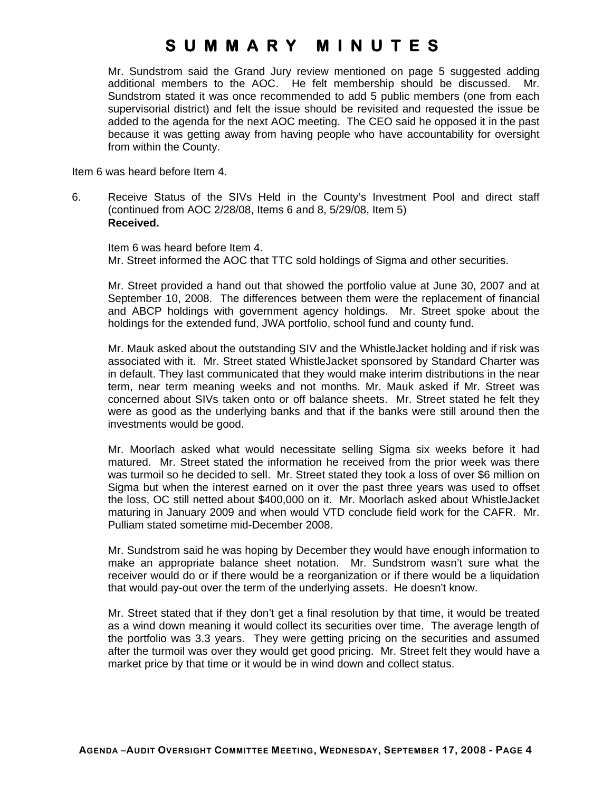Mr. Sundstrom said the Grand Jury review mentioned on page 5 suggested adding additional members to the AOC. He felt membership should be discussed. Mr. Sundstrom stated it was once recommended to add 5 public members (one from each supervisorial district) and felt the issue should be revisited and requested the issue be added to the agenda for the next AOC meeting. The CEO said he opposed it in the past because it was getting away from having people who have accountability for oversight from within the County.

Item 6 was heard before Item 4.

6. Receive Status of the SIVs Held in the County's Investment Pool and direct staff (continued from AOC 2/28/08, Items 6 and 8, 5/29/08, Item 5) **Received.** 

Item 6 was heard before Item 4. Mr. Street informed the AOC that TTC sold holdings of Sigma and other securities.

Mr. Street provided a hand out that showed the portfolio value at June 30, 2007 and at September 10, 2008. The differences between them were the replacement of financial and ABCP holdings with government agency holdings. Mr. Street spoke about the holdings for the extended fund, JWA portfolio, school fund and county fund.

Mr. Mauk asked about the outstanding SIV and the WhistleJacket holding and if risk was associated with it. Mr. Street stated WhistleJacket sponsored by Standard Charter was in default. They last communicated that they would make interim distributions in the near term, near term meaning weeks and not months. Mr. Mauk asked if Mr. Street was concerned about SIVs taken onto or off balance sheets. Mr. Street stated he felt they were as good as the underlying banks and that if the banks were still around then the investments would be good.

Mr. Moorlach asked what would necessitate selling Sigma six weeks before it had matured. Mr. Street stated the information he received from the prior week was there was turmoil so he decided to sell. Mr. Street stated they took a loss of over \$6 million on Sigma but when the interest earned on it over the past three years was used to offset the loss, OC still netted about \$400,000 on it. Mr. Moorlach asked about WhistleJacket maturing in January 2009 and when would VTD conclude field work for the CAFR. Mr. Pulliam stated sometime mid-December 2008.

Mr. Sundstrom said he was hoping by December they would have enough information to make an appropriate balance sheet notation. Mr. Sundstrom wasn't sure what the receiver would do or if there would be a reorganization or if there would be a liquidation that would pay-out over the term of the underlying assets. He doesn't know.

Mr. Street stated that if they don't get a final resolution by that time, it would be treated as a wind down meaning it would collect its securities over time. The average length of the portfolio was 3.3 years. They were getting pricing on the securities and assumed after the turmoil was over they would get good pricing. Mr. Street felt they would have a market price by that time or it would be in wind down and collect status.